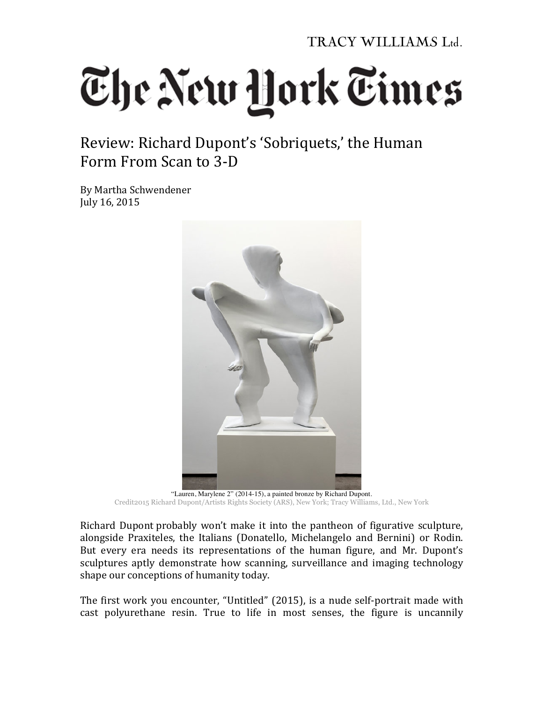TRACY WILLIAMS Ltd.

## The New York Times

Review: Richard Dupont's 'Sobriquets,' the Human Form From Scan to 3-D

By Martha Schwendener July 16, 2015



"Lauren, Marylene 2" (2014-15), a painted bronze by Richard Dupont. Credit2015 Richard Dupont/Artists Rights Society (ARS), New York; Tracy Williams, Ltd., New York

Richard Dupont probably won't make it into the pantheon of figurative sculpture, alongside Praxiteles, the Italians (Donatello, Michelangelo and Bernini) or Rodin. But every era needs its representations of the human figure, and Mr. Dupont's sculptures aptly demonstrate how scanning, surveillance and imaging technology shape our conceptions of humanity today.

The first work you encounter, "Untitled" (2015), is a nude self-portrait made with cast polyurethane resin. True to life in most senses, the figure is uncannily